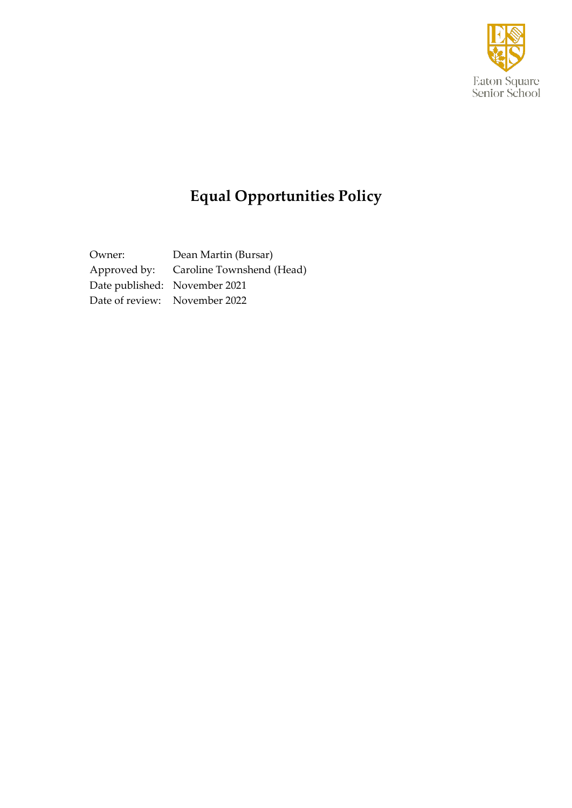

# **Equal Opportunities Policy**

Owner: Dean Martin (Bursar) Approved by: Caroline Townshend (Head) Date published: November 2021 Date of review: November 2022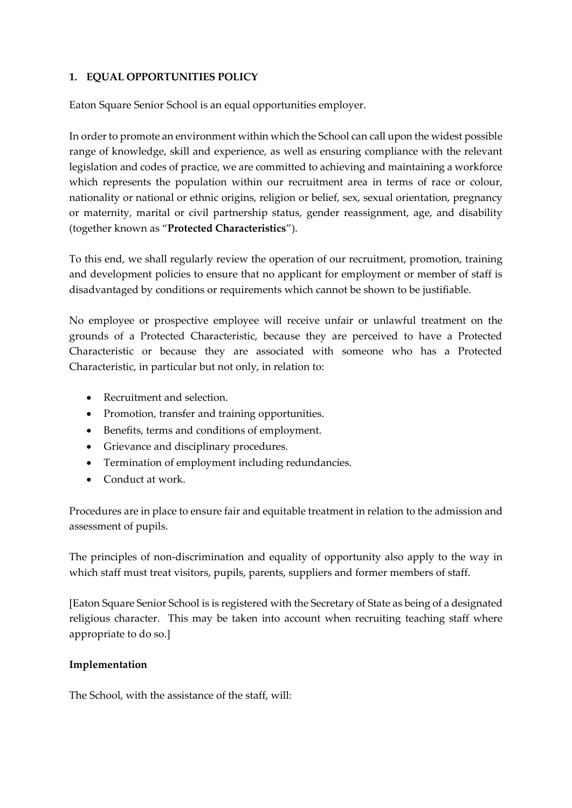# **1. EQUAL OPPORTUNITIES POLICY**

Eaton Square Senior School is an equal opportunities employer.

In order to promote an environment within which the School can call upon the widest possible range of knowledge, skill and experience, as well as ensuring compliance with the relevant legislation and codes of practice, we are committed to achieving and maintaining a workforce which represents the population within our recruitment area in terms of race or colour, nationality or national or ethnic origins, religion or belief, sex, sexual orientation, pregnancy or maternity, marital or civil partnership status, gender reassignment, age, and disability (together known as "**Protected Characteristics**").

To this end, we shall regularly review the operation of our recruitment, promotion, training and development policies to ensure that no applicant for employment or member of staff is disadvantaged by conditions or requirements which cannot be shown to be justifiable.

No employee or prospective employee will receive unfair or unlawful treatment on the grounds of a Protected Characteristic, because they are perceived to have a Protected Characteristic or because they are associated with someone who has a Protected Characteristic, in particular but not only, in relation to:

- Recruitment and selection.
- Promotion, transfer and training opportunities.
- Benefits, terms and conditions of employment.
- Grievance and disciplinary procedures.
- Termination of employment including redundancies.
- Conduct at work.

Procedures are in place to ensure fair and equitable treatment in relation to the admission and assessment of pupils.

The principles of non-discrimination and equality of opportunity also apply to the way in which staff must treat visitors, pupils, parents, suppliers and former members of staff.

[Eaton Square Senior School is is registered with the Secretary of State as being of a designated religious character. This may be taken into account when recruiting teaching staff where appropriate to do so.]

# **Implementation**

The School, with the assistance of the staff, will: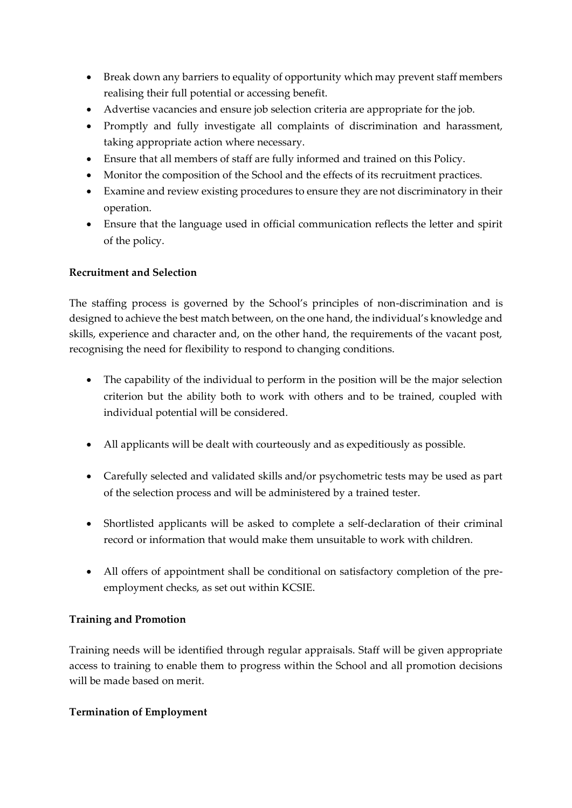- Break down any barriers to equality of opportunity which may prevent staff members realising their full potential or accessing benefit.
- Advertise vacancies and ensure job selection criteria are appropriate for the job.
- Promptly and fully investigate all complaints of discrimination and harassment, taking appropriate action where necessary.
- Ensure that all members of staff are fully informed and trained on this Policy.
- Monitor the composition of the School and the effects of its recruitment practices.
- Examine and review existing procedures to ensure they are not discriminatory in their operation.
- Ensure that the language used in official communication reflects the letter and spirit of the policy.

# **Recruitment and Selection**

The staffing process is governed by the School's principles of non-discrimination and is designed to achieve the best match between, on the one hand, the individual's knowledge and skills, experience and character and, on the other hand, the requirements of the vacant post, recognising the need for flexibility to respond to changing conditions.

- The capability of the individual to perform in the position will be the major selection criterion but the ability both to work with others and to be trained, coupled with individual potential will be considered.
- All applicants will be dealt with courteously and as expeditiously as possible.
- Carefully selected and validated skills and/or psychometric tests may be used as part of the selection process and will be administered by a trained tester.
- Shortlisted applicants will be asked to complete a self-declaration of their criminal record or information that would make them unsuitable to work with children.
- All offers of appointment shall be conditional on satisfactory completion of the preemployment checks, as set out within KCSIE.

#### **Training and Promotion**

Training needs will be identified through regular appraisals. Staff will be given appropriate access to training to enable them to progress within the School and all promotion decisions will be made based on merit.

#### **Termination of Employment**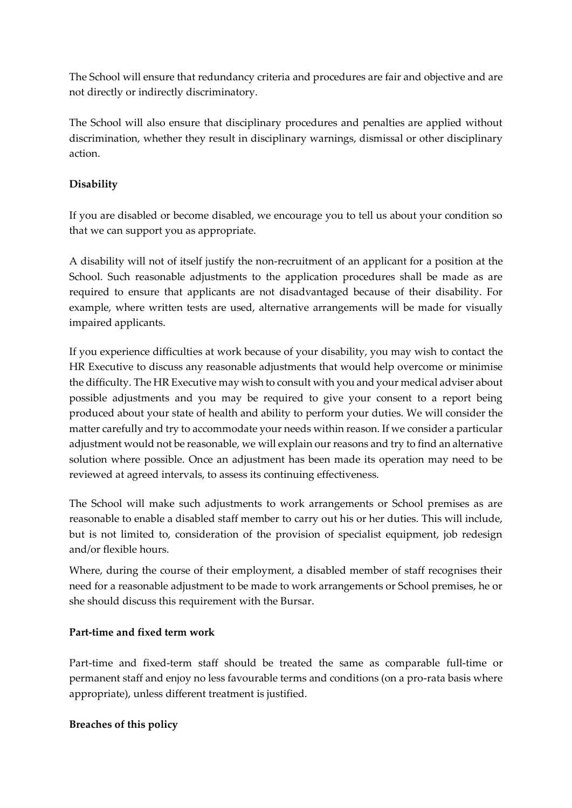The School will ensure that redundancy criteria and procedures are fair and objective and are not directly or indirectly discriminatory.

The School will also ensure that disciplinary procedures and penalties are applied without discrimination, whether they result in disciplinary warnings, dismissal or other disciplinary action.

# **Disability**

If you are disabled or become disabled, we encourage you to tell us about your condition so that we can support you as appropriate.

A disability will not of itself justify the non-recruitment of an applicant for a position at the School. Such reasonable adjustments to the application procedures shall be made as are required to ensure that applicants are not disadvantaged because of their disability. For example, where written tests are used, alternative arrangements will be made for visually impaired applicants.

If you experience difficulties at work because of your disability, you may wish to contact the HR Executive to discuss any reasonable adjustments that would help overcome or minimise the difficulty. The HR Executive may wish to consult with you and your medical adviser about possible adjustments and you may be required to give your consent to a report being produced about your state of health and ability to perform your duties. We will consider the matter carefully and try to accommodate your needs within reason. If we consider a particular adjustment would not be reasonable, we will explain our reasons and try to find an alternative solution where possible. Once an adjustment has been made its operation may need to be reviewed at agreed intervals, to assess its continuing effectiveness.

The School will make such adjustments to work arrangements or School premises as are reasonable to enable a disabled staff member to carry out his or her duties. This will include, but is not limited to, consideration of the provision of specialist equipment, job redesign and/or flexible hours.

Where, during the course of their employment, a disabled member of staff recognises their need for a reasonable adjustment to be made to work arrangements or School premises, he or she should discuss this requirement with the Bursar.

# **Part-time and fixed term work**

Part-time and fixed-term staff should be treated the same as comparable full-time or permanent staff and enjoy no less favourable terms and conditions (on a pro-rata basis where appropriate), unless different treatment is justified.

# **Breaches of this policy**